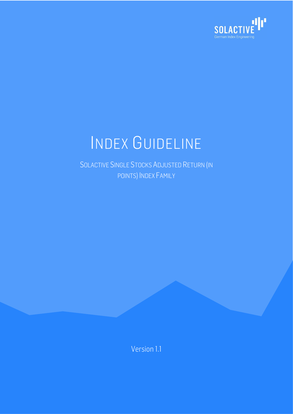

SOLACTIVE SINGLE STOCKS ADJUSTED RETURN (IN POINTS) INDEX FAMILY

Version 1.1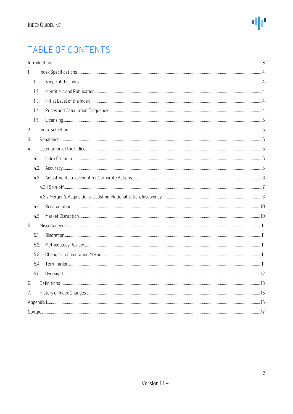## TABLE OF CONTENTS

|    |      | Introduction 33 |  |
|----|------|-----------------|--|
| 1. |      |                 |  |
|    | 1.1. |                 |  |
|    | 1.2. |                 |  |
|    | 1.3. |                 |  |
|    | 1.4. |                 |  |
|    | 1.5. |                 |  |
| 2. |      |                 |  |
| 3. |      |                 |  |
| 4. |      |                 |  |
|    | 4.1. |                 |  |
|    | 4.2. |                 |  |
|    | 4.3. |                 |  |
|    |      |                 |  |
|    |      |                 |  |
|    |      |                 |  |
|    | 4.5. |                 |  |
| 5. |      |                 |  |
|    | 5.1. |                 |  |
|    | 5.2. |                 |  |
|    | 5.3. |                 |  |
|    | 5.4. |                 |  |
|    | 5.5. |                 |  |
| 6. |      |                 |  |
| 7. |      |                 |  |
|    |      |                 |  |
|    |      |                 |  |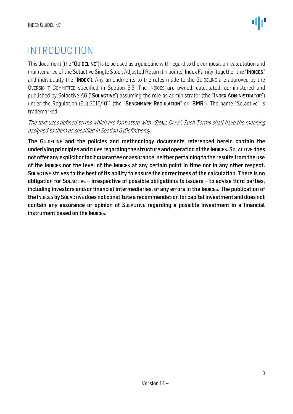## <span id="page-2-0"></span>INTRODUCTION

This document (the "GUIDELINE") is to be used as a quideline with regard to the composition, calculation and maintenance of the Solactive Single Stock Adjusted Return (in points) Index Family (together the "INDICES" and individually the "INDEX"). Any amendments to the rules made to the GUIDELINE are approved by the OVERSIGHT COMMITTEE specified in Section 5.5. The INDICES are owned, calculated, administered and published by Solactive AG ("SOLACTIVE") assuming the role as administrator (the "INDEX ADMINISTRATOR") under the Regulation (EU) 2016/1011 (the "BENCHMARK REGULATION" or "BMR"). The name "Solactive" is trademarked.

The text uses defined terms which are formatted with "SMALL CAPS". Such Terms shall have the meaning assigned to them as specified in Section 6 (Definitions).

The GUIDELINE and the policies and methodology documents referenced herein contain the underlying principles and rules regarding the structure and operation of the INDICES. SOLACTIVE does not offer any explicit or tacit guarantee or assurance, neither pertaining to the results from the use of the INDICES nor the level of the INDICES at any certain point in time nor in any other respect. SOLACTIVE strives to the best of its ability to ensure the correctness of the calculation. There is no obligation for SOLACTIVE – irrespective of possible obligations to issuers – to advise third parties, including investors and/or financial intermediaries, of any errors in the INDICES. The publication of the INDICES by SOLACTIVE does not constitute a recommendation for capital investment and does not contain any assurance or opinion of SOLACTIVE regarding a possible investment in a financial instrument based on the INDICES.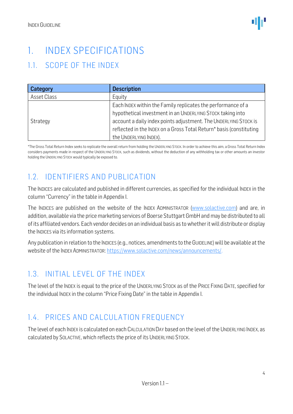## <span id="page-3-0"></span>1. INDEX SPECIFICATIONS

## <span id="page-3-1"></span>1.1. SCOPE OF THE INDEX

| Category    | <b>Description</b>                                                  |
|-------------|---------------------------------------------------------------------|
| Asset Class | Equity                                                              |
|             | Each INDEX within the Family replicates the performance of a        |
|             | hypothetical investment in an UNDERLYING STOCK taking into          |
| Strategy    | account a daily index points adjustment. The UNDERLYING STOCK is    |
|             | reflected in the INDEX on a Gross Total Return* basis (constituting |
|             | the UNDERLYING INDEX).                                              |

\*The Gross Total Return Index seeks to replicate the overall return from holding the UNDERLYING STOCK. In order to achieve this aim, a Gross Total Return Index considers payments made in respect of the UNDERLYING STOCK, such as dividends, without the deduction of any withholding tax or other amounts an investor holding the UNDERLYING STOCK would typically be exposed to.

## <span id="page-3-2"></span>1.2. IDENTIFIERS AND PUBLICATION

The INDICES are calculated and published in different currencies, as specified for the individual INDEX in the column "Currency" in the table in Appendix I.

The INDICES are published on the website of the INDEX ADMINISTRATOR [\(www.solactive.com\)](http://www.solactive.com/) and are, in addition, available via the price marketing services of Boerse Stuttgart GmbH and may be distributed to all of its affiliated vendors. Each vendor decides on an individual basis as to whether it will distribute or display the INDICES via its information systems.

Any publication in relation to the INDICES (e.g., notices, amendments to the GUIDELINE) will be available at the website of the INDEX ADMINISTRATOR: [https://www.solactive.com/news/announcements/.](https://www.solactive.com/news/announcements/)

## <span id="page-3-3"></span>1.3. INITIAL LEVEL OF THE INDEX

The level of the INDEX is equal to the price of the UNDERLYING STOCK as of the PRICE FIXING DATE, specified for the individual INDEX in the column "Price Fixing Date" in the table in Appendix I.

## <span id="page-3-4"></span>1.4. PRICES AND CALCULATION FREQUENCY

The level of each INDEX is calculated on each CALCULATION DAY based on the level of the UNDERLYING INDEX, as calculated by SOLACTIVE, which reflects the price of its UNDERLYING STOCK.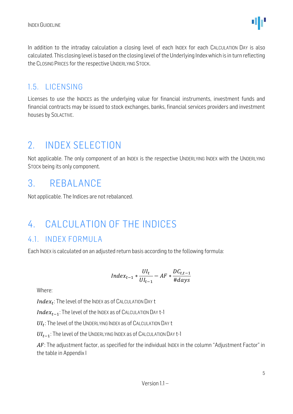

In addition to the intraday calculation a closing level of each INDEX for each CALCULATION DAY is also calculated. This closing level is based on the closing level of the Underlying Index which is in turn reflecting the CLOSING PRICES for the respective UNDERLYING STOCK.

### <span id="page-4-0"></span>1.5. LICENSING

Licenses to use the INDICES as the underlying value for financial instruments, investment funds and financial contracts may be issued to stock exchanges, banks, financial services providers and investment houses by SOLACTIVE.

## <span id="page-4-1"></span>2. INDEX SELECTION

Not applicable. The only component of an INDEX is the respective UNDERLYING INDEX with the UNDERLYING STOCK being its only component.

## <span id="page-4-2"></span>3. REBALANCE

Not applicable. The Indices are not rebalanced.

## <span id="page-4-3"></span>4. CALCULATION OF THE INDICES

### <span id="page-4-4"></span>4.1. INDEX FORMULA

Each INDEX is calculated on an adjusted return basis according to the following formula:

$$
Index_{t-1} * \frac{UI_t}{UI_{t-1}} - AF * \frac{DC_{t,t-1}}{\# days}
$$

Where:

 $Index_t$ : The level of the INDEX as of CALCULATION DAY t

 $Index_{t-1}$ : The level of the INDEX as of CALCULATION DAY t-1

 $\mathit{UI}_t$ : The level of the UNDERLYING INDEX as of CALCULATION DAY t

 $UI_{t-1}$ : The level of the UNDERLYING INDEX as of CALCULATION DAY t-1

 $AF$ : The adjustment factor, as specified for the individual INDEX in the column "Adjustment Factor" in the table in Appendix I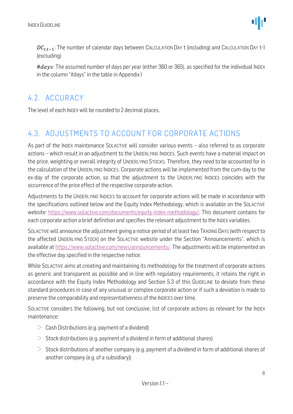$DC_{t,t-1}$ : The number of calendar days between CALCULATION DAY t (including) and CALCULATION DAY t-1 (excluding)

 $\# days$ : The assumed number of days per year (either 360 or 365), as specified for the individual INDEX in the column "#days" in the table in AppendixI

### <span id="page-5-0"></span>4.2. ACCURACY

The level of each INDEX will be rounded to 2 decimal places.

### <span id="page-5-1"></span>4.3. ADJUSTMENTS TO ACCOUNT FOR CORPORATE ACTIONS

As part of the INDEX maintenance SOLACTIVE will consider various events – also referred to as corporate actions – which result in an adjustment to the UNDERLYING INDICES. Such events have a material impact on the price, weighting or overall integrity of UNDERLYING STOCKS. Therefore, they need to be accounted for in the calculation of the UNDERLYING INDICES. Corporate actions will be implemented from the cum-day to the ex-day of the corporate action, so that the adjustment to the UNDERLYING INDICES coincides with the occurrence of the price effect of the respective corporate action.

Adjustments to the UNDERLYING INDICES to account for corporate actions will be made in accordance with the specifications outlined below and the Equity Index Methodology, which is available on the SOLACTIVE website: [https://www.solactive.com/documents/equity-index-methodology/.](https://www.solactive.com/documents/equity-index-methodology/) This document contains for each corporate action a brief definition and specifies the relevant adjustment to the INDEX variables.

SOLACTIVE will announce the adjustment giving a notice period of at least two TRADING DAYS (with respect to the affected UNDERLYING STOCK) on the SOLACTIVE website under the Section "Announcements", which is available at https://www.solactive.com/news/announcements/. The adjustments will be implemented on the effective day specified in the respective notice.

While SOLACTIVE aims at creating and maintaining its methodology for the treatment of corporate actions as generic and transparent as possible and in line with regulatory requirements, it retains the right in accordance with the Equity Index Methodology and Section 5.3 of this GUIDELINE to deviate from these standard procedures in case of any unusual or complex corporate action or if such a deviation is made to preserve the comparability and representativeness of the INDICES over time.

SOLACTIVE considers the following, but not conclusive, list of corporate actions as relevant for the INDEX maintenance:

- $\geq$  Cash Distributions (e.g. payment of a dividend)
- $>$  Stock distributions (e.g. payment of a dividend in form of additional shares)
- $>$  Stock distributions of another company (e.g. payment of a dividend in form of additional shares of another company (e.g. of a subsidiary))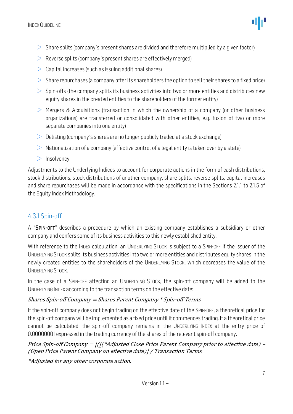- $>$  Share splits (company's present shares are divided and therefore multiplied by a given factor)
- $\geq$  Reverse splits (company's present shares are effectively merged)
- $\geq$  Capital increases (such as issuing additional shares)
- $>$  Share repurchases (a company offer its shareholders the option to sell their shares to a fixed price)
- $>$  Spin-offs (the company splits its business activities into two or more entities and distributes new equity shares in the created entities to the shareholders of the former entity)
- $\geq$  Mergers & Acquisitions (transaction in which the ownership of a company (or other business organizations) are transferred or consolidated with other entities, e.g. fusion of two or more separate companies into one entity)
- $\geq$  Delisting (company's shares are no longer publicly traded at a stock exchange)
- $>$  Nationalization of a company (effective control of a legal entity is taken over by a state)
- $>$  Insolvency

Adjustments to the Underlying Indices to account for corporate actions in the form of cash distributions, stock distributions, stock distributions of another company, share splits, reverse splits, capital increases and share repurchases will be made in accordance with the specifications in the Sections 2.1.1 to 2.1.5 of the Equity Index Methodology.

### <span id="page-6-0"></span>4.3.1 Spin-off

A "SPIN-OFF" describes a procedure by which an existing company establishes a subsidiary or other company and confers some of its business activities to this newly established entity.

With reference to the INDEX calculation, an UNDERLYING STOCK is subject to a SPIN-OFF if the issuer of the UNDERLYING STOCK splits its business activities into two or more entities and distributes equity shares in the newly created entities to the shareholders of the UNDERLYING STOCK, which decreases the value of the UNDERLYING STOCK.

In the case of a SPIN-OFF affecting an UNDERLYING STOCK, the spin-off company will be added to the UNDERLYING INDEX according to the transaction terms on the effective date:

#### Shares Spin-off Company = Shares Parent Company \* Spin-off Terms

If the spin-off company does not begin trading on the effective date of the SPIN-OFF, a theoretical price for the spin-off company will be implemented as a fixed price until it commences trading. If a theoretical price cannot be calculated, the spin-off company remains in the UNDERLYING INDEX at the entry price of 0.00000001 expressed in the trading currency of the shares of the relevant spin-off company.

Price Spin-off Company =  $[(\frac{4}{4}d)^{3}](\frac{d}{d})$  = Price Parent Company prior to effective date) -(Open Price Parent Company on effective date)] / Transaction Terms

\*Adjusted for any other corporate action.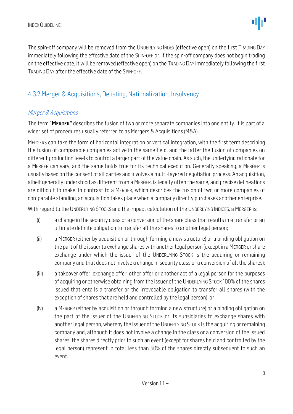The spin-off company will be removed from the UNDERLYING INDEX (effective open) on the first TRADING DAY immediately following the effective date of the SPIN-OFF or, if the spin-off company does not begin trading on the effective date, it will be removed (effective open) on the TRADING DAY immediately following the first TRADING DAY after the effective date of the SPIN-OFF.

### <span id="page-7-0"></span>4.3.2 Merger & Acquisitions, Delisting, Nationalization, Insolvency

#### Merger & Acquisitions

The term "MERGER" describes the fusion of two or more separate companies into one entity. It is part of a wider set of procedures usually referred to as Mergers & Acquisitions (M&A).

MERGERS can take the form of horizontal integration or vertical integration, with the first term describing the fusion of comparable companies active in the same field, and the latter the fusion of companies on different production levels to control a larger part of the value chain. As such, the underlying rationale for a MERGER can vary, and the same holds true for its technical execution. Generally speaking, a MERGER is usually based on the consent of all parties and involves a multi-layered negotiation process. An acquisition, albeit generally understood as different from a MERGER, is legally often the same, and precise delineations are difficult to make. In contrast to a MERGER, which describes the fusion of two or more companies of comparable standing, an acquisition takes place when a company directly purchases another enterprise.

With regard to the UNDERLYING STOCKS and the impact calculation of the UNDERLYING INDICES, a MERGER is:

- (i) a change in the security class or a conversion of the share class that results in a transfer or an ultimate definite obligation to transfer all the shares to another legal person;
- (ii) a MERGER (either by acquisition or through forming a new structure) or a binding obligation on the part of the issuer to exchange shares with another legal person (except in a MERGER or share exchange under which the issuer of the UNDERLYING STOCK is the acquiring or remaining company and that does not involve a change in security class or a conversion of all the shares);
- (iii) a takeover offer, exchange offer, other offer or another act of a legal person for the purposes of acquiring or otherwise obtaining from the issuer of the UNDERLYING STOCK 100% of the shares issued that entails a transfer or the irrevocable obligation to transfer all shares (with the exception of shares that are held and controlled by the legal person); or
- (iv) a MERGER (either by acquisition or through forming a new structure) or a binding obligation on the part of the issuer of the UNDERLYING STOCK or its subsidiaries to exchange shares with another legal person, whereby the issuer of the UNDERLYING STOCK is the acquiring or remaining company and, although it does not involve a change in the class or a conversion of the issued shares, the shares directly prior to such an event (except for shares held and controlled by the legal person) represent in total less than 50% of the shares directly subsequent to such an event.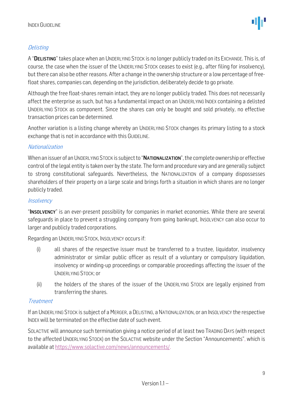#### **Delisting**

A "DELISTING" takes place when an UNDERLYING STOCK is no longer publicly traded on its EXCHANGE. This is, of course, the case when the issuer of the UNDERLYING STOCK ceases to exist (e.g., after filing for insolvency), but there can also be other reasons. After a change in the ownership structure or a low percentage of freefloat shares, companies can, depending on the jurisdiction, deliberately decide to go private.

Although the free float-shares remain intact, they are no longer publicly traded. This does not necessarily affect the enterprise as such, but has a fundamental impact on an UNDERLYING INDEX containing a delisted UNDERLYING STOCK as component. Since the shares can only be bought and sold privately, no effective transaction prices can be determined.

Another variation is a listing change whereby an UNDERLYING STOCK changes its primary listing to a stock exchange that is not in accordance with this GUIDELINE.

#### Nationalization

When an issuer of an UNDERLYING STOCK is subject to "NATIONALIZATION", the complete ownership or effective control of the legal entity is taken over by the state. The form and procedure vary and are generally subject to strong constitutional safeguards. Nevertheless, the NATIONALIZATION of a company dispossesses shareholders of their property on a large scale and brings forth a situation in which shares are no longer publicly traded.

#### **Insolvency**

"INSOLVENCY" is an ever-present possibility for companies in market economies. While there are several safeguards in place to prevent a struggling company from going bankrupt, INSOLVENCY can also occur to larger and publicly traded corporations.

Regarding an UNDERLYING STOCK, INSOLVENCY occurs if:

- (i) all shares of the respective issuer must be transferred to a trustee, liquidator, insolvency administrator or similar public officer as result of a voluntary or compulsory liquidation, insolvency or winding-up proceedings or comparable proceedings affecting the issuer of the UNDERLYING STOCK; or
- (ii) the holders of the shares of the issuer of the UNDERLYING STOCK are legally enjoined from transferring the shares.

#### Treatment

If an UNDERLYING STOCK is subject of a MERGER, a DELISTING, a NATIONALIZATION, or an INSOLVENCY the respective INDEX will be terminated on the effective date of such event.

SOLACTIVE will announce such termination giving a notice period of at least two TRADING DAYS (with respect to the affected UNDERLYING STOCK) on the SOLACTIVE website under the Section "Announcements", which is available at https://www.solactive.com/news/announcements/.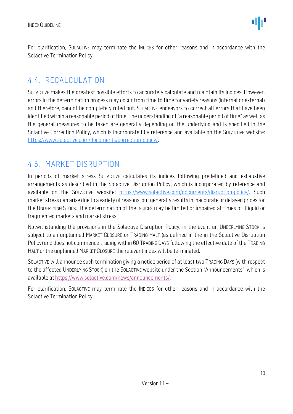For clarification, SOLACTIVE may terminate the INDICES for other reasons and in accordance with the Solactive Termination Policy.

### <span id="page-9-0"></span>4.4. RECALCULATION

SOLACTIVE makes the greatest possible efforts to accurately calculate and maintain its indices. However, errors in the determination process may occur from time to time for variety reasons (internal or external) and therefore, cannot be completely ruled out. SOLACTIVE endeavors to correct all errors that have been identified within a reasonable period of time. The understanding of "a reasonable period of time" as well as the general measures to be taken are generally depending on the underlying and is specified in the Solactive Correction Policy, which is incorporated by reference and available on the SOLACTIVE website: [https://www.solactive.com/documents/correction-policy/.](https://www.solactive.com/documents/correction-policy/)

### <span id="page-9-1"></span>4.5. MARKET DISRUPTION

In periods of market stress SOLACTIVE calculates its indices following predefined and exhaustive arrangements as described in the Solactive Disruption Policy, which is incorporated by reference and available on the SOLACTIVE website: [https://www.solactive.com/documents/disruption-policy/.](https://www.solactive.com/documents/disruption-policy/) Such market stress can arise due to a variety of reasons, but generally results in inaccurate or delayed prices for the UNDERLYING STOCK. The determination of the INDICES may be limited or impaired at times of illiquid or fragmented markets and market stress.

Notwithstanding the provisions in the Solactive Disruption Policy, in the event an UNDERLYING STOCK is subject to an unplanned MARKET CLOSURE or TRADING HALT (as defined in the in the Solactive Disruption Policy) and does not commence trading within 60 TRADING DAYS following the effective date of the TRADING HALT or the unplanned MARKET CLOSURE the relevant index will be terminated.

SOLACTIVE will announce such termination giving a notice period of at least two TRADING DAYS (with respect to the affected UNDERLYING STOCK) on the SOLACTIVE website under the Section "Announcements", which is available at https://www.solactive.com/news/announcements/.

For clarification, SOLACTIVE may terminate the INDICES for other reasons and in accordance with the Solactive Termination Policy.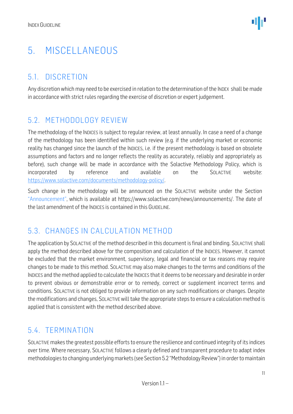## <span id="page-10-0"></span>5. MISCELLANEOUS

## <span id="page-10-1"></span>5.1. DISCRETION

Any discretion which may need to be exercised in relation to the determination of the INDEX shall be made in accordance with strict rules regarding the exercise of discretion or expert judgement.

## <span id="page-10-2"></span>5.2. METHODOLOGY REVIEW

The methodology of the INDICES is subject to regular review, at least annually. In case a need of a change of the methodology has been identified within such review (e.g. if the underlying market or economic reality has changed since the launch of the INDICES, i.e. if the present methodology is based on obsolete assumptions and factors and no longer reflects the reality as accurately, reliably and appropriately as before), such change will be made in accordance with the Solactive Methodology Policy, which is incorporated by reference and available on the SOLACTIVE website: [https://www.solactive.com/documents/methodology-policy/.](https://www.solactive.com/documents/methodology-policy/)

Such change in the methodology will be announced on the SOLACTIVE website under the Section "Announcement", which is available at https://www.solactive.com/news/announcements/. The date of the last amendment of the INDICES is contained in this GUIDELINE.

## <span id="page-10-3"></span>5.3. CHANGES IN CALCULATION METHOD

The application by SOLACTIVE of the method described in this document is final and binding. SOLACTIVE shall apply the method described above for the composition and calculation of the INDICES. However, it cannot be excluded that the market environment, supervisory, legal and financial or tax reasons may require changes to be made to this method. SOLACTIVE may also make changes to the terms and conditions of the INDICES and the method applied to calculate the INDICES that it deems to be necessary and desirable in order to prevent obvious or demonstrable error or to remedy, correct or supplement incorrect terms and conditions. SOLACTIVE is not obliged to provide information on any such modifications or changes. Despite the modifications and changes, SOLACTIVE will take the appropriate steps to ensure a calculation method is applied that is consistent with the method described above.

## <span id="page-10-4"></span>5.4. TERMINATION

SOLACTIVE makes the greatest possible efforts to ensure the resilience and continued integrity of its indices over time. Where necessary, SOLACTIVE follows a clearly defined and transparent procedure to adapt index methodologies to changing underlying markets (see Section 5.2 "Methodology Review") in order to maintain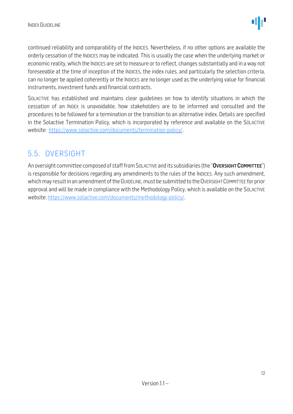continued reliability and comparability of the INDICES. Nevertheless, if no other options are available the orderly cessation of the INDICES may be indicated. This is usually the case when the underlying market or economic reality, which the INDICES are set to measure or to reflect, changes substantially and in a way not foreseeable at the time of inception of the INDICES, the index rules, and particularly the selection criteria, can no longer be applied coherently or the INDICES are no longer used as the underlying value for financial instruments, investment funds and financial contracts.

SOLACTIVE has established and maintains clear guidelines on how to identify situations in which the cessation of an INDEX is unavoidable, how stakeholders are to be informed and consulted and the procedures to be followed for a termination or the transition to an alternative index. Details are specified in the Solactive Termination Policy, which is incorporated by reference and available on the SOLACTIVE website: [https://www.solactive.com/documents/termination-policy/.](https://www.solactive.com/documents/termination-policy/)

## <span id="page-11-0"></span>5.5. OVERSIGHT

An oversight committee composed of staff from SOLACTIVE and its subsidiaries (the "OVERSIGHT COMMITTEE") is responsible for decisions regarding any amendments to the rules of the INDICES. Any such amendment, which may result in an amendment of the GUIDELINE, must be submitted to the OVERSIGHT COMMITTEE for prior approval and will be made in compliance with the [Methodology](http://methodology/) Policy, which is available on the SOLACTIVE website: [https://www.solactive.com/documents/methodology-policy/.](https://www.solactive.com/documents/methodology-policy/)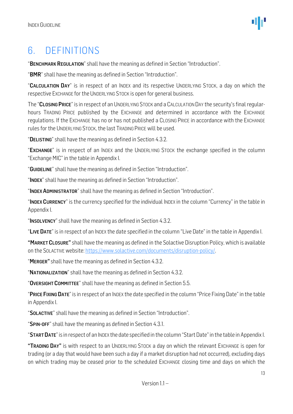## <span id="page-12-0"></span>6. DEFINITIONS

"BENCHMARK REGULATION" shall have the meaning as defined in Section "Introduction".

"BMR" shall have the meaning as defined in Section "Introduction".

"CALCULATION DAY" is in respect of an INDEX and its respective UNDERLYING STOCK, a day on which the respective EXCHANGE for the UNDERLYING STOCK is open for general business.

The "CLOSING PRICE" is in respect of an UNDERLYING STOCK and a CALCULATION DAY the security's final regularhours TRADING PRICE published by the EXCHANGE and determined in accordance with the EXCHANGE regulations. If the EXCHANGE has no or has not published a CLOSING PRICE in accordance with the EXCHANGE rules for the UNDERLYING STOCK, the last TRADING PRICE will be used.

"DELISTING" shall have the meaning as defined in Section 4.3.2.

"EXCHANGE" is in respect of an INDEX and the UNDERLYING STOCK the exchange specified in the column "Exchange MIC" in the table in Appendix I.

"GUIDELINE" shall have the meaning as defined in Section "Introduction".

"INDEX" shall have the meaning as defined in Section "Introduction".

"INDEX ADMINISTRATOR" shall have the meaning as defined in Section "Introduction".

"INDEX CURRENCY" is the currency specified for the individual INDEX in the column "Currency" in the table in Appendix I.

"INSOLVENCY" shall have the meaning as defined in Section 4.3.2.

"LIVE DATE" is in respect of an INDEX the date specified in the column "Live Date" in the table in Appendix I.

"MARKET CLOSURE" shall have the meaning as defined in the Solactive Disruption Policy, which is available on the SOLACTIVE website[: https://www.solactive.com/documents/disruption-policy/.](https://www.solactive.com/documents/disruption-policy/)

"MERGER" shall have the meaning as defined in Section 4.3.2.

"NATIONALIZATION" shall have the meaning as defined in Section 4.3.2.

"OVERSIGHT COMMITTEE" shall have the meaning as defined in Section 5.5.

"PRICE FIXING DATE" is in respect of an INDEX the date specified in the column "Price Fixing Date" in the table in Appendix I.

"SOLACTIVE" shall have the meaning as defined in Section "Introduction".

"SPIN-OFF" shall have the meaning as defined in Section 4.3.1.

"START DATE" is in respect of an INDEX the date specified in the column "Start Date" in the table in Appendix I.

"TRADING DAY" is with respect to an UNDERLYING STOCK a day on which the relevant EXCHANGE is open for trading (or a day that would have been such a day if a market disruption had not occurred), excluding days on which trading may be ceased prior to the scheduled EXCHANGE closing time and days on which the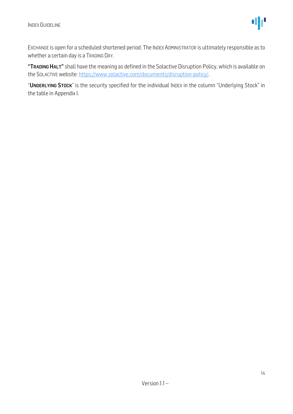EXCHANGE is open for a scheduled shortened period. The INDEX ADMINISTRATOR is ultimately responsible as to whether a certain day is a TRADING DAY.

"TRADING HALT" shall have the meaning as defined in the Solactive Disruption Policy, which is available on the SOLACTIVE website[: https://www.solactive.com/documents/disruption-policy/.](https://www.solactive.com/documents/disruption-policy/)

"UNDERLYING STOCK" is the security specified for the individual INDEX in the column "Underlying Stock" in the table in Appendix I.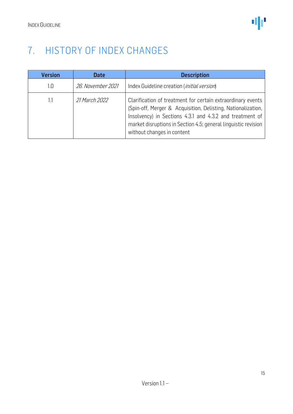## <span id="page-14-0"></span>7. HISTORY OF INDEX CHANGES

| <b>Version</b> | <b>Date</b>       | <b>Description</b>                                                                                                                                                                                                                                                                      |
|----------------|-------------------|-----------------------------------------------------------------------------------------------------------------------------------------------------------------------------------------------------------------------------------------------------------------------------------------|
| 1.0            | 26. November 2021 | Index Guideline creation ( <i>initial version</i> )                                                                                                                                                                                                                                     |
| 1.1            | 21 March 2022     | Clarification of treatment for certain extraordinary events<br>(Spin-off, Merger & Acquisition, Delisting, Nationalization,<br>Insolvency) in Sections 4.3.1 and 4.3.2 and treatment of<br>market disruptions in Section 4.5; general linguistic revision<br>without changes in content |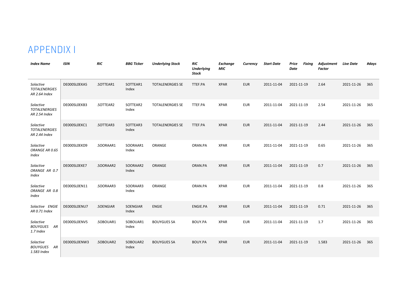## APPENDIX I

<span id="page-15-0"></span>

| <b>Index Name</b>                                  | <b>ISIN</b>  | <b>RIC</b> | <b>BBG Ticker</b> | <b>Underlying Stock</b> | <b>RIC</b><br><b>Underlying</b><br><b>Stock</b> | <b>Exchange</b><br>MIC | Currency   | <b>Start Date</b> | Price<br><b>Date</b> | <b>Fixing</b> | Adjustment<br><b>Factor</b> | <b>Live Date</b> | #days |
|----------------------------------------------------|--------------|------------|-------------------|-------------------------|-------------------------------------------------|------------------------|------------|-------------------|----------------------|---------------|-----------------------------|------------------|-------|
| Solactive<br><b>TOTALENERGIES</b><br>AR 2.64 Index | DE000SL0EKA5 | .SOTTEAR1  | SOTTEAR1<br>Index | <b>TOTALENERGIES SE</b> | TTEF.PA                                         | <b>XPAR</b>            | <b>EUR</b> | 2011-11-04        | 2021-11-19           |               | 2.64                        | 2021-11-26       | 365   |
| Solactive<br><b>TOTALENERGIES</b><br>AR 2.54 Index | DE000SL0EKB3 | .SOTTEAR2  | SOTTEAR2<br>Index | <b>TOTALENERGIES SE</b> | TTEF.PA                                         | <b>XPAR</b>            | <b>EUR</b> | 2011-11-04        | 2021-11-19           |               | 2.54                        | 2021-11-26       | 365   |
| Solactive<br><b>TOTALENERGIES</b><br>AR 2.44 Index | DE000SL0EKC1 | .SOTTEAR3  | SOTTEAR3<br>Index | <b>TOTALENERGIES SE</b> | TTEF.PA                                         | <b>XPAR</b>            | <b>EUR</b> | 2011-11-04        | 2021-11-19           |               | 2.44                        | 2021-11-26       | 365   |
| Solactive<br>ORANGE AR 0.65<br>Index               | DE000SL0EKD9 | .SOORAAR1  | SOORAAR1<br>Index | ORANGE                  | ORAN.PA                                         | <b>XPAR</b>            | <b>EUR</b> | 2011-11-04        | 2021-11-19           |               | 0.65                        | 2021-11-26       | 365   |
| Solactive<br>ORANGE AR 0.7<br>Index                | DE000SL0EKE7 | .SOORAAR2  | SOORAAR2<br>Index | <b>ORANGE</b>           | ORAN.PA                                         | <b>XPAR</b>            | <b>EUR</b> | 2011-11-04        | 2021-11-19           |               | 0.7                         | 2021-11-26       | 365   |
| Solactive<br>ORANGE AR 0.8<br><b>Index</b>         | DE000SL0EN11 | .SOORAAR3  | SOORAAR3<br>Index | ORANGE                  | ORAN.PA                                         | <b>XPAR</b>            | <b>EUR</b> | 2011-11-04        | 2021-11-19           |               | 0.8                         | 2021-11-26       | 365   |
| Solactive ENGIE<br>AR 0.71 Index                   | DE000SL0ENU7 | .SOENGIAR  | SOENGIAR<br>Index | <b>ENGIE</b>            | ENGIE.PA                                        | <b>XPAR</b>            | <b>EUR</b> | 2011-11-04        | 2021-11-19           |               | 0.71                        | 2021-11-26       | 365   |
| Solactive<br><b>BOUYGUES AR</b><br>1.7 Index       | DE000SL0ENV5 | .SOBOUAR1  | SOBOUAR1<br>Index | <b>BOUYGUES SA</b>      | BOUY.PA                                         | <b>XPAR</b>            | <b>EUR</b> | 2011-11-04        | 2021-11-19           |               | 1.7                         | 2021-11-26       | 365   |
| Solactive<br><b>BOUYGUES</b><br>AR<br>1.583 Index  | DE000SL0ENW3 | .SOBOUAR2  | SOBOUAR2<br>Index | <b>BOUYGUES SA</b>      | <b>BOUY.PA</b>                                  | <b>XPAR</b>            | <b>EUR</b> | 2011-11-04        | 2021-11-19           |               | 1.583                       | 2021-11-26       | 365   |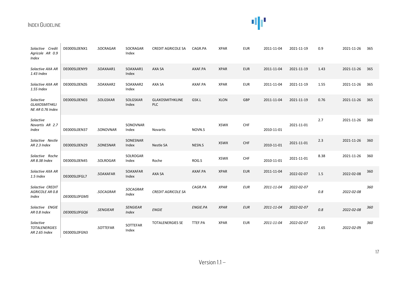# 业

| Solactive Credit<br>Agricole AR 0.9<br><b>Index</b>   | DE000SL0ENX1 | .SOCRAGAR | SOCRAGAR<br>Index               | <b>CREDIT AGRICOLE SA</b>     | CAGR.PA         | <b>XPAR</b> | <b>EUR</b> | 2011-11-04 | 2021-11-19 | 0.9  | 2021-11-26 | 365 |
|-------------------------------------------------------|--------------|-----------|---------------------------------|-------------------------------|-----------------|-------------|------------|------------|------------|------|------------|-----|
| Solactive AXA AR<br>1.43 Index                        | DE000SL0ENY9 | .SOAXAAR1 | SOAXAAR1<br>Index               | AXA SA                        | AXAF.PA         | <b>XPAR</b> | <b>EUR</b> | 2011-11-04 | 2021-11-19 | 1.43 | 2021-11-26 | 365 |
| Solactive AXA AR<br>1.55 Index                        | DE000SL0ENZ6 | .SOAXAAR2 | SOAXAAR2<br>Index               | AXA SA                        | AXAF.PA         | <b>XPAR</b> | <b>EUR</b> | 2011-11-04 | 2021-11-19 | 1.55 | 2021-11-26 | 365 |
| Solactive<br><b>GLAXOSMITHKLI</b><br>NE AR 0.76 Index | DE000SL0EN03 | .SOLGSKAR | SOLGSKAR<br>Index               | <b>GLAXOSMITHKLINE</b><br>PLC | GSK.L           | XLON        | GBP        | 2011-11-04 | 2021-11-19 | 0.76 | 2021-11-26 | 365 |
| Solactive<br>Novartis AR 2.7<br>Index                 | DE000SL0EN37 | .SONOVNAR | SONOVNAR<br>Index               | Novartis                      | NOVN.S          | <b>XSWX</b> | CHF        | 2010-11-01 | 2021-11-01 | 2.7  | 2021-11-26 | 360 |
| Solactive Nestle<br>AR 2.3 Index                      | DE000SL0EN29 | .SONESNAR | SONESNAR<br>Index               | Nestle SA                     | NESN.S          | <b>XSWX</b> | <b>CHF</b> | 2010-11-01 | 2021-11-01 | 2.3  | 2021-11-26 | 360 |
| Solactive Roche<br>AR 8.38 Index                      | DE000SL0EN45 | .SOLROGAR | SOLROGAR<br>Index               | Roche                         | ROG.S           | <b>XSWX</b> | CHF        | 2010-11-01 | 2021-11-01 | 8.38 | 2021-11-26 | 360 |
| Solactive AXA AR<br>1.5 Index                         | DE000SL0FGL7 | .SOAXAFAR | SOAXAFAR<br>Index               | AXA SA                        | AXAF.PA         | <b>XPAR</b> | <b>EUR</b> | 2011-11-04 | 2022-02-07 | 1.5  | 2022-02-08 | 360 |
| Solactive CREDIT<br>AGRICOLE AR 0.8<br>Index          | DE000SL0FGM5 | .SOCAGRAR | SOCAGRAR<br><b>Index</b>        | <b>CREDIT AGRICOLE SA</b>     | CAGR.PA         | <b>XPAR</b> | <b>EUR</b> | 2011-11-04 | 2022-02-07 | 0.8  | 2022-02-08 | 360 |
| Solactive ENGIE<br>AR 0.8 Index                       | DE000SL0FGQ6 | .SENGIEAR | <b>SENGIEAR</b><br><b>Index</b> | <b>ENGIE</b>                  | <b>ENGIE.PA</b> | <b>XPAR</b> | <b>EUR</b> | 2011-11-04 | 2022-02-07 | 0.8  | 2022-02-08 | 360 |
| Solactive<br><b>TOTALENERGIES</b><br>AR 2.65 Index    | DE000SL0FGN3 | .SOTTEFAR | SOTTEFAR<br>Index               | <b>TOTALENERGIES SE</b>       | TTEF.PA         | <b>XPAR</b> | <b>EUR</b> | 2011-11-04 | 2022-02-07 | 2.65 | 2022-02-09 | 360 |

17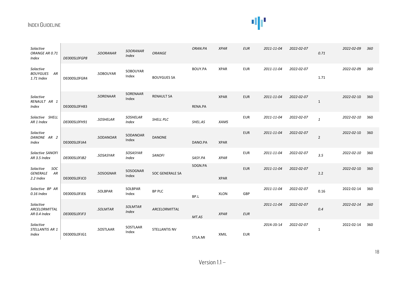# 业

| Solactive<br>ORANGE AR 0.71<br>Index                   | DE000SL0FGP8 | .SOORANAR | <b>SOORANAR</b><br><b>Index</b> | <b>ORANGE</b>          | ORAN.PA | <b>XPAR</b> | <b>EUR</b> | 2011-11-04 | 2022-02-07 | 0.71           | 2022-02-09 | 360 |
|--------------------------------------------------------|--------------|-----------|---------------------------------|------------------------|---------|-------------|------------|------------|------------|----------------|------------|-----|
| Solactive<br><b>BOUYGUES</b><br>AR<br>1.71 Index       | DE000SL0FGR4 | .SOBOUYAR | SOBOUYAR<br>Index               | <b>BOUYGUES SA</b>     | BOUY.PA | <b>XPAR</b> | <b>EUR</b> | 2011-11-04 | 2022-02-07 | 1.71           | 2022-02-09 | 360 |
| Solactive<br>RENAULT AR 1<br>Index                     | DE000SL0FH83 | .SORENAAR | SORENAAR<br>Index               | <b>RENAULT SA</b>      | RENA.PA | <b>XPAR</b> | <b>EUR</b> | 2011-11-04 | 2022-02-07 | $\mathbf{1}$   | 2022-02-10 | 360 |
| Solactive SHELL<br>AR 1 Index                          | DE000SL0FH91 | .SOSHELAR | <b>SOSHELAR</b><br>Index        | SHELL PLC              | SHEL.AS | <b>XAMS</b> | <b>EUR</b> | 2011-11-04 | 2022-02-07 | $\mathbf{1}$   | 2022-02-10 | 360 |
| Solactive<br>DANONE AR 2<br>Index                      | DE000SL0FJA4 | .SODANOAR | SODANOAR<br>Index               | <b>DANONE</b>          | DANO.PA | <b>XPAR</b> | <b>EUR</b> | 2011-11-04 | 2022-02-07 | $\overline{2}$ | 2022-02-10 | 360 |
| Solactive SANOFI<br>AR 3.5 Index                       | DE000SL0FJB2 | .SOSASYAR | SOSASYAR<br>Index               | <b>SANOFI</b>          | SASY.PA | <b>XPAR</b> | <b>EUR</b> | 2011-11-04 | 2022-02-07 | 3.5            | 2022-02-10 | 360 |
| Solactive<br>SOC<br><b>GENERALE</b><br>AR<br>2.2 Index | DE000SL0FJC0 | .SOSOGNAR | SOSOGNAR<br>Index               | <b>SOC GENERALE SA</b> | SOGN.PA | <b>XPAR</b> | <b>EUR</b> | 2011-11-04 | 2022-02-07 | 2.2            | 2022-02-10 | 360 |
| Solactive BP AR<br>0.16 Index                          | DE000SL0FJE6 | .SOLBPAR  | SOLBPAR<br>Index                | <b>BP PLC</b>          | BP.L    | XLON        | GBP        | 2011-11-04 | 2022-02-07 | 0.16           | 2022-02-14 | 360 |
| Solactive<br>ARCELORMITTAL<br>AR 0.4 Index             | DE000SL0FJF3 | .SOLMTAR  | <b>SOLMTAR</b><br><b>Index</b>  | ARCELORMITTAL          | MT.AS   | <b>XPAR</b> | <b>EUR</b> | 2011-11-04 | 2022-02-07 | 0.4            | 2022-02-14 | 360 |
| Solactive<br>STELLANTIS AR 1<br>Index                  | DE000SL0FJG1 | .SOSTLAAR | SOSTLAAR<br>Index               | <b>STELLANTIS NV</b>   | STLA.MI | XMIL        | <b>EUR</b> | 2014-10-14 | 2022-02-07 | 1              | 2022-02-14 | 360 |

18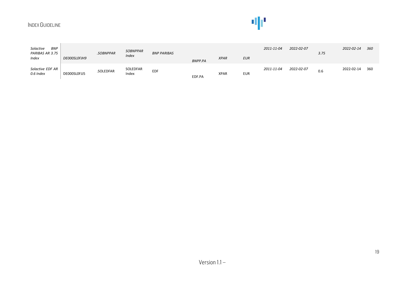# 业

| <b>BNP</b><br>Solactive<br>PARIBAS AR 3.75<br>Index | DE000SL0FJH9 | .SOBNPPAR | <b>SOBNPPAR</b><br><i>Index</i> | <b>BNP PARIBAS</b> | <b>BNPP.PA</b> | <b>XPAR</b> | <b>EUR</b> | 2011-11-04 | 2022-02-07 | 3.75 | 2022-02-14 | 360 |
|-----------------------------------------------------|--------------|-----------|---------------------------------|--------------------|----------------|-------------|------------|------------|------------|------|------------|-----|
| Solactive EDF AR<br>0.6 Index                       | DE000SL0FJJ5 | .SOLEDFAR | SOLEDFAR<br>Index               | <b>EDF</b>         | EDF.PA         | <b>XPAR</b> | <b>EUR</b> | 2011-11-04 | 2022-02-07 | 0.6  | 2022-02-14 | 360 |